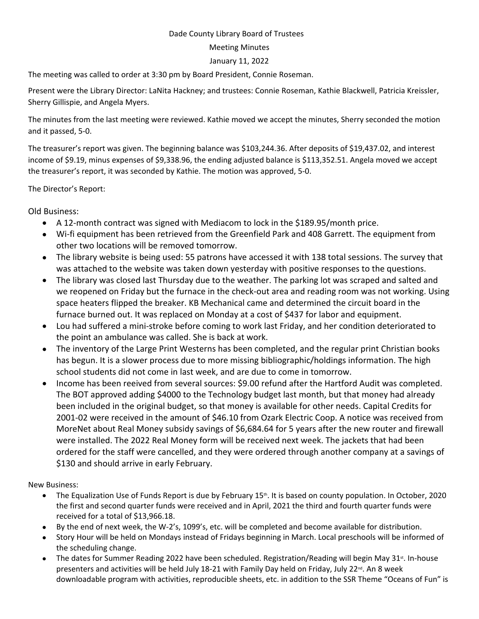## Dade County Library Board of Trustees

## Meeting Minutes

## January 11, 2022

The meeting was called to order at 3:30 pm by Board President, Connie Roseman.

Present were the Library Director: LaNita Hackney; and trustees: Connie Roseman, Kathie Blackwell, Patricia Kreissler, Sherry Gillispie, and Angela Myers.

The minutes from the last meeting were reviewed. Kathie moved we accept the minutes, Sherry seconded the motion and it passed, 5-0.

The treasurer's report was given. The beginning balance was \$103,244.36. After deposits of \$19,437.02, and interest income of \$9.19, minus expenses of \$9,338.96, the ending adjusted balance is \$113,352.51. Angela moved we accept the treasurer's report, it was seconded by Kathie. The motion was approved, 5-0.

The Director's Report:

Old Business:

- A 12-month contract was signed with Mediacom to lock in the \$189.95/month price.
- Wi-fi equipment has been retrieved from the Greenfield Park and 408 Garrett. The equipment from other two locations will be removed tomorrow.
- The library website is being used: 55 patrons have accessed it with 138 total sessions. The survey that was attached to the website was taken down yesterday with positive responses to the questions.
- The library was closed last Thursday due to the weather. The parking lot was scraped and salted and we reopened on Friday but the furnace in the check-out area and reading room was not working. Using space heaters flipped the breaker. KB Mechanical came and determined the circuit board in the furnace burned out. It was replaced on Monday at a cost of \$437 for labor and equipment.
- Lou had suffered a mini-stroke before coming to work last Friday, and her condition deteriorated to the point an ambulance was called. She is back at work.
- The inventory of the Large Print Westerns has been completed, and the regular print Christian books has begun. It is a slower process due to more missing bibliographic/holdings information. The high school students did not come in last week, and are due to come in tomorrow.
- Income has been reeived from several sources: \$9.00 refund after the Hartford Audit was completed. The BOT approved adding \$4000 to the Technology budget last month, but that money had already been included in the original budget, so that money is available for other needs. Capital Credits for 2001-02 were received in the amount of \$46.10 from Ozark Electric Coop. A notice was received from MoreNet about Real Money subsidy savings of \$6,684.64 for 5 years after the new router and firewall were installed. The 2022 Real Money form will be received next week. The jackets that had been ordered for the staff were cancelled, and they were ordered through another company at a savings of \$130 and should arrive in early February.

New Business:

- The Equalization Use of Funds Report is due by February 15<sup>th</sup>. It is based on county population. In October, 2020 the first and second quarter funds were received and in April, 2021 the third and fourth quarter funds were received for a total of \$13,966.18.
- By the end of next week, the W-2's, 1099's, etc. will be completed and become available for distribution.
- Story Hour will be held on Mondays instead of Fridays beginning in March. Local preschools will be informed of the scheduling change.
- The dates for Summer Reading 2022 have been scheduled. Registration/Reading will begin May 31<sup>st</sup>. In-house presenters and activities will be held July 18-21 with Family Day held on Friday, July 22<sup>nd</sup>. An 8 week downloadable program with activities, reproducible sheets, etc. in addition to the SSR Theme "Oceans of Fun" is